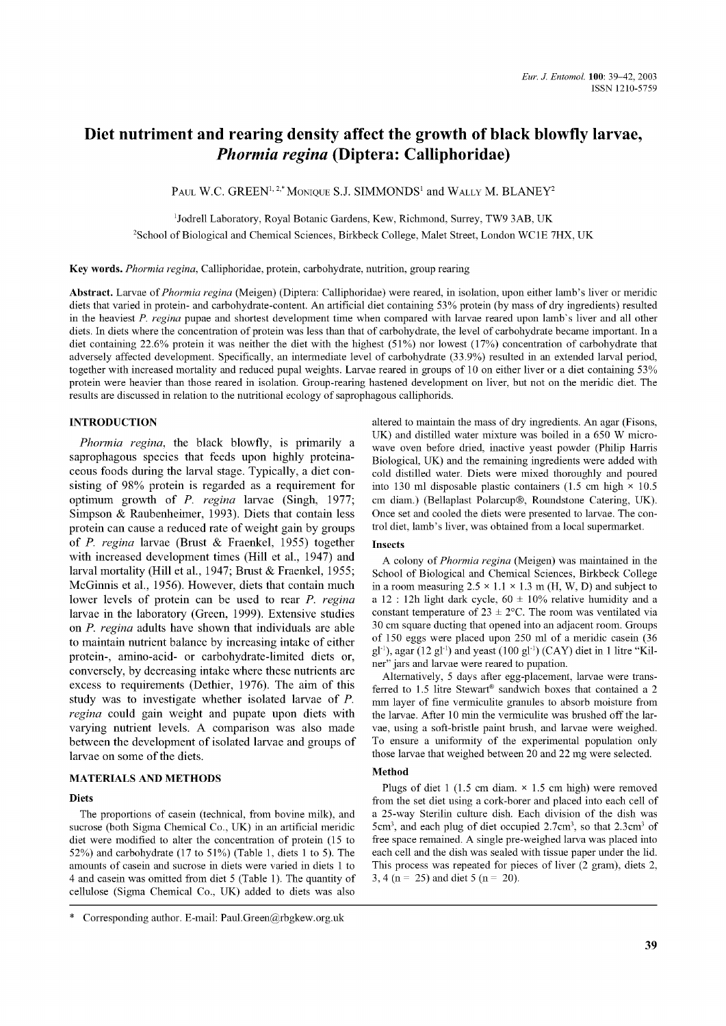# **Diet nutriment and rearing density affect the growth of black blowfly larvae,** *Phormia regina* **(Diptera: Calliphoridae)**

PAUL W.C. GREEN<sup>1, 2,\*</sup> MONIQUE S.J. SIMMONDS<sup>1</sup> and WALLY M. BLANEY<sup>2</sup>

<sup>1</sup>Jodrell Laboratory, Royal Botanic Gardens, Kew, Richmond, Surrey, TW9 3AB, UK

<sup>2</sup>School of Biological and Chemical Sciences, Birkbeck College, Malet Street, London WC1E 7HX, UK

Key words. *Phormia regina,* Calliphoridae, protein, carbohydrate, nutrition, group rearing

Abstract. Larvae of *Phormia regina* (Meigen) (Diptera: Calliphoridae) were reared, in isolation, upon either lamb's liver or meridic diets that varied in protein- and carbohydrate-content. An artificial diet containing 53% protein (by mass of dry ingredients) resulted in the heaviest *P. regina* pupae and shortest development time when compared with larvae reared upon lamb's liver and all other diets. In diets where the concentration of protein was less than that of carbohydrate, the level of carbohydrate became important. In a diet containing 22.6% protein it was neither the diet with the highest (51%) nor lowest (17%) concentration of carbohydrate that adversely affected development. Specifically, an intermediate level of carbohydrate (33.9%) resulted in an extended larval period, together with increased mortality and reduced pupal weights. Larvae reared in groups of 10 on either liver or a diet containing 53% protein were heavier than those reared in isolation. Group-rearing hastened development on liver, but not on the meridic diet. The results are discussed in relation to the nutritional ecology of saprophagous calliphorids.

# INTRODUCTION

*Phormia regina,* the black blowfly, is primarily a saprophagous species that feeds upon highly proteinaceous foods during the larval stage. Typically, a diet consisting of 98% protein is regarded as a requirement for optimum growth of *P. regina* larvae (Singh, 1977; Simpson & Raubenheimer, 1993). Diets that contain less protein can cause a reduced rate of weight gain by groups of *P. regina* larvae (Brust & Fraenkel, 1955) together with increased development times (Hill et al., 1947) and larval mortality (Hill et al., 1947; Brust & Fraenkel, 1955; McGinnis et al., 1956). However, diets that contain much lower levels of protein can be used to rear *P. regina* larvae in the laboratory (Green, 1999). Extensive studies on *P. regina* adults have shown that individuals are able to maintain nutrient balance by increasing intake of either protein-, amino-acid- or carbohydrate-limited diets or, conversely, by decreasing intake where these nutrients are excess to requirements (Dethier, 1976). The aim of this study was to investigate whether isolated larvae of *P. regina* could gain weight and pupate upon diets with varying nutrient levels. A comparison was also made between the development of isolated larvae and groups of larvae on some of the diets.

## MATERIALS AND METHODS

## **Diets**

The proportions of casein (technical, from bovine milk), and sucrose (both Sigma Chemical Co., UK) in an artificial meridic diet were modified to alter the concentration of protein (15 to 52%) and carbohydrate (17 to 51%) (Table 1, diets 1 to 5). The amounts of casein and sucrose in diets were varied in diets 1 to 4 and casein was omitted from diet 5 (Table 1). The quantity of cellulose (Sigma Chemical Co., UK) added to diets was also

\* Corresponding author. E-mail: [Paul.Green@rbgkew.org.uk](mailto:Paul.Green@rbgkew.org.uk)

altered to maintain the mass of dry ingredients. An agar (Fisons, UK) and distilled water mixture was boiled in a 650 W microwave oven before dried, inactive yeast powder (Philip Harris Biological, UK) and the remaining ingredients were added with cold distilled water. Diets were mixed thoroughly and poured into 130 ml disposable plastic containers (1.5 cm high  $\times$  10.5 cm diam.) (Bellaplast Polarcup®, Roundstone Catering, UK). Once set and cooled the diets were presented to larvae. The control diet, lamb's liver, was obtained from a local supermarket.

#### Insects

A colony of *Phormia regina* (Meigen) was maintained in the School of Biological and Chemical Sciences, Birkbeck College in a room measuring  $2.5 \times 1.1 \times 1.3$  m (H, W, D) and subject to a 12 : 12h light dark cycle,  $60 \pm 10\%$  relative humidity and a constant temperature of  $23 \pm 2$ °C. The room was ventilated via 30 cm square ducting that opened into an adjacent room. Groups of 150 eggs were placed upon 250 ml of a meridic casein (36  $gl<sup>-1</sup>$ ), agar (12 gl<sup>-1</sup>) and yeast (100 gl<sup>-1</sup>) (CAY) diet in 1 litre "Kilner" jars and larvae were reared to pupation.

Alternatively, 5 days after egg-placement, larvae were transferred to 1.5 litre Stewart® sandwich boxes that contained a 2 mm layer of fine vermiculite granules to absorb moisture from the larvae. After 10 min the vermiculite was brushed off the larvae, using a soft-bristle paint brush, and larvae were weighed. To ensure a uniformity of the experimental population only those larvae that weighed between 20 and 22 mg were selected.

# Method

Plugs of diet 1 (1.5 cm diam.  $\times$  1.5 cm high) were removed from the set diet using a cork-borer and placed into each cell of a 25-way Sterilin culture dish. Each division of the dish was 5cm3, and each plug of diet occupied 2.7cm3, so that 2.3cm3 of free space remained. A single pre-weighed larva was placed into each cell and the dish was sealed with tissue paper under the lid. This process was repeated for pieces of liver (2 gram), diets 2, 3, 4 (n = 25) and diet 5 (n = 20).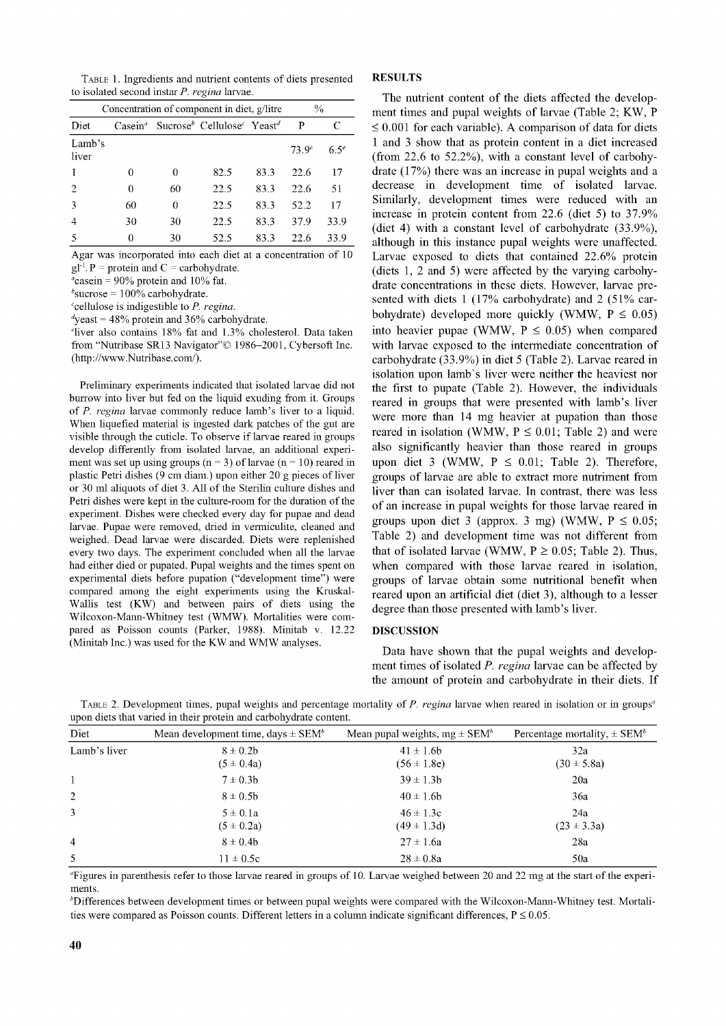Table 1. Ingredients and nutrient contents of diets presented to isolated second instar *P. regina* larvae.

| Concentration of component in diet, g/litre |                           |    |                                                                |      | $\frac{0}{0}$ |           |
|---------------------------------------------|---------------------------|----|----------------------------------------------------------------|------|---------------|-----------|
| Diet                                        | $\text{Case} \text{in}^a$ |    | Sucrose <sup>b</sup> Cellulose <sup>c</sup> Yeast <sup>d</sup> |      | P             | C         |
| Lamb's<br>liver                             |                           |    |                                                                |      | $73.9^e$      | $6.5^{e}$ |
|                                             | 0                         | 0  | 82.5                                                           | 83.3 | 22.6          | 17        |
| 2                                           | 0                         | 60 | 22.5                                                           | 83.3 | 22.6          | 51        |
| 3                                           | 60                        | 0  | 22.5                                                           | 83.3 | 52.2          | 17        |
| 4                                           | 30                        | 30 | 22.5                                                           | 83.3 | 37.9          | 33.9      |
| 5                                           | 0                         | 30 | 52.5                                                           | 83.3 | 22.6          | 33.9      |

Agar was incorporated into each diet at a concentration of 10  $gl<sup>-1</sup>$ . P = protein and C = carbohydrate.

 $a$ casein = 90% protein and 10% fat.

 $b$ sucrose = 100% carbohydrate.

'cellulose is indigestible to *P. regina.*

 $\alpha$ <sup>d</sup>yeast = 48% protein and 36% carbohydrate.

eliver also contains 18% fat and 1.3% cholesterol. Data taken from "Nutribase SR13 Navigator"© 1986-2001, Cybersoft Inc. [\(http://www.Nutribase.com/](http://www.Nutribase.com/)).

Preliminary experiments indicated that isolated larvae did not burrow into liver but fed on the liquid exuding from it. Groups of *P. regina* larvae commonly reduce lamb's liver to a liquid. When liquefied material is ingested dark patches of the gut are visible through the cuticle. To observe if larvae reared in groups develop differently from isolated larvae, an additional experiment was set up using groups ( $n = 3$ ) of larvae ( $n = 10$ ) reared in plastic Petri dishes (9 cm diam.) upon either 20 g pieces of liver or 30 ml aliquots of diet 3. All of the Sterilin culture dishes and Petri dishes were kept in the culture-room for the duration of the experiment. Dishes were checked every day for pupae and dead larvae. Pupae were removed, dried in vermiculite, cleaned and weighed. Dead larvae were discarded. Diets were replenished every two days. The experiment concluded when all the larvae had either died or pupated. Pupal weights and the times spent on experimental diets before pupation ("development time") were compared among the eight experiments using the Kruskal-Wallis test (KW) and between pairs of diets using the Wilcoxon-Mann-Whitney test (WMW). Mortalities were compared as Poisson counts (Parker, 1988). Minitab v. 12.22 (Minitab Inc.) was used for the KW and WMW analyses.

## **RESULTS**

The nutrient content of the diets affected the development times and pupal weights of larvae (Table 2; KW, P  $\leq 0.001$  for each variable). A comparison of data for diets 1 and 3 show that as protein content in a diet increased (from 22.6 to 52.2%), with a constant level of carbohydrate (17%) there was an increase in pupal weights and a decrease in development time of isolated larvae. Similarly, development times were reduced with an increase in protein content from 22.6 (diet 5) to 37.9% (diet 4) with a constant level of carbohydrate (33.9%), although in this instance pupal weights were unaffected. Larvae exposed to diets that contained 22.6% protein (diets 1, 2 and 5) were affected by the varying carbohydrate concentrations in these diets. However, larvae presented with diets 1 (17% carbohydrate) and 2 (51% carbohydrate) developed more quickly (WMW,  $P \leq 0.05$ ) into heavier pupae (WMW,  $P \le 0.05$ ) when compared with larvae exposed to the intermediate concentration of carbohydrate (33.9%) in diet 5 (Table 2). Larvae reared in isolation upon lamb's liver were neither the heaviest nor the first to pupate (Table 2). However, the individuals reared in groups that were presented with lamb's liver were more than 14 mg heavier at pupation than those reared in isolation (WMW,  $P \le 0.01$ ; Table 2) and were also significantly heavier than those reared in groups upon diet 3 (WMW,  $P \le 0.01$ ; Table 2). Therefore, groups of larvae are able to extract more nutriment from liver than can isolated larvae. In contrast, there was less of an increase in pupal weights for those larvae reared in groups upon diet 3 (approx. 3 mg) (WMW,  $P \le 0.05$ ; Table 2) and development time was not different from that of isolated larvae (WMW,  $P \ge 0.05$ ; Table 2). Thus, when compared with those larvae reared in isolation, groups of larvae obtain some nutritional benefit when reared upon an artificial diet (diet 3), although to a lesser degree than those presented with lamb's liver.

#### DISCUSSION

Data have shown that the pupal weights and development times of isolated *P. regina* larvae can be affected by the amount of protein and carbohydrate in their diets. If

|                                                                   | TABLE 2. Development times, pupal weights and percentage mortality of P. regina larvae when reared in isolation or in groups <sup>a</sup> |                                                                              |  |  |  |  |  |
|-------------------------------------------------------------------|-------------------------------------------------------------------------------------------------------------------------------------------|------------------------------------------------------------------------------|--|--|--|--|--|
| upon diets that varied in their protein and carbohydrate content. |                                                                                                                                           |                                                                              |  |  |  |  |  |
| Diat                                                              | Mean development time $d$ ave $\pm$ SEM <sup>b</sup>                                                                                      | Mean pupal weights $ma + \text{STM}^b$ Percentage mortality $+ \text{STM}^b$ |  |  |  |  |  |

| Diet           | Mean development time, days $\pm$ SEM <sup>b</sup> | Mean pupal weights, $mg \pm SEM^b$ | Percentage mortality, $\pm$ SEM <sup>b</sup> |
|----------------|----------------------------------------------------|------------------------------------|----------------------------------------------|
| Lamb's liver   | $8 \pm 0.2b$<br>$(5 \pm 0.4a)$                     | $41 \pm 1.6b$<br>$(56 \pm 1.8e)$   | 32a<br>$(30 \pm 5.8a)$                       |
|                | $7 \pm 0.3 b$                                      | $39 \pm 1.3b$                      | 20a                                          |
| <sup>2</sup>   | $8 \pm 0.5b$                                       | $40 \pm 1.6$ b                     | 36a                                          |
| 3              | $5 \pm 0.1a$<br>$(5 \pm 0.2a)$                     | $46 \pm 1.3c$<br>$(49 \pm 1.3d)$   | 24a<br>$(23 \pm 3.3a)$                       |
| $\overline{4}$ | $8 \pm 0.4b$                                       | $27 \pm 1.6a$                      | 28a                                          |
| 5              | $11 \pm 0.5c$                                      | $28 \pm 0.8a$                      | 50a                                          |

aFigures in parenthesis refer to those larvae reared in groups of 10. Larvae weighed between 20 and 22 mg at the start of the expertments.

^Differences between development times or between pupal weights were compared with the Wilcoxon-Mann-Whitney test. Mortalities were compared as Poisson counts. Different letters in a column indicate significant differences,  $P \le 0.05$ .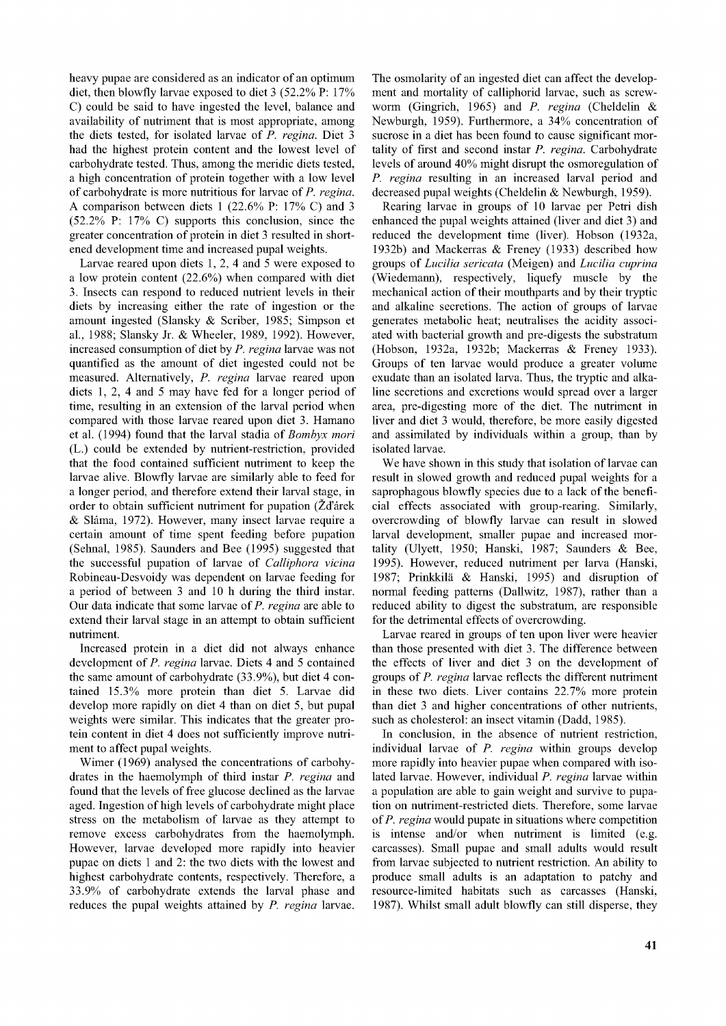heavy pupae are considered as an indicator of an optimum diet, then blowfly larvae exposed to diet 3 (52.2% P: 17% C) could be said to have ingested the level, balance and availability of nutriment that is most appropriate, among the diets tested, for isolated larvae of *P. regina.* Diet 3 had the highest protein content and the lowest level of carbohydrate tested. Thus, among the meridic diets tested, a high concentration of protein together with a low level of carbohydrate is more nutritious for larvae of *P. regina.* A comparison between diets 1 (22.6% P: 17% C) and 3 (52.2% P: 17% C) supports this conclusion, since the greater concentration of protein in diet 3 resulted in shortened development time and increased pupal weights.

Larvae reared upon diets 1, 2, 4 and 5 were exposed to a low protein content (22.6%) when compared with diet 3. Insects can respond to reduced nutrient levels in their diets by increasing either the rate of ingestion or the amount ingested (Slansky & Scriber, 1985; Simpson et al., 1988; Slansky Jr. & Wheeler, 1989, 1992). However, increased consumption of diet by *P. regina* larvae was not quantified as the amount of diet ingested could not be measured. Alternatively, *P. regina* larvae reared upon diets 1, 2, 4 and 5 may have fed for a longer period of time, resulting in an extension of the larval period when compared with those larvae reared upon diet 3. Hamano et al. (1994) found that the larval stadia of *Bombyx mori* (L.) could be extended by nutrient-restriction, provided that the food contained sufficient nutriment to keep the larvae alive. Blowfly larvae are similarly able to feed for a longer period, and therefore extend their larval stage, in order to obtain sufficient nutriment for pupation (Zďárek & Sláma, 1972). However, many insect larvae require a certain amount of time spent feeding before pupation (Sehnal, 1985). Saunders and Bee (1995) suggested that the successful pupation of larvae of *Calliphora vicina* Robineau-Desvoidy was dependent on larvae feeding for a period of between 3 and 10 h during the third instar. Our data indicate that some larvae of *P. regina* are able to extend their larval stage in an attempt to obtain sufficient nutriment.

Increased protein in a diet did not always enhance development of *P. regina* larvae. Diets 4 and 5 contained the same amount of carbohydrate (33.9%), but diet 4 contained 15.3% more protein than diet 5. Larvae did develop more rapidly on diet 4 than on diet 5, but pupal weights were similar. This indicates that the greater protein content in diet 4 does not sufficiently improve nutriment to affect pupal weights.

Wimer (1969) analysed the concentrations of carbohydrates in the haemolymph of third instar *P. regina* and found that the levels of free glucose declined as the larvae aged. Ingestion of high levels of carbohydrate might place stress on the metabolism of larvae as they attempt to remove excess carbohydrates from the haemolymph. However, larvae developed more rapidly into heavier pupae on diets 1 and 2: the two diets with the lowest and highest carbohydrate contents, respectively. Therefore, a 33.9% of carbohydrate extends the larval phase and reduces the pupal weights attained by *P. regina* larvae. The osmolarity of an ingested diet can affect the development and mortality of calliphorid larvae, such as screwworm (Gingrich, 1965) and *P. regina* (Cheldelin & Newburgh, 1959). Furthermore, a 34% concentration of sucrose in a diet has been found to cause significant mortality of first and second instar *P. regina.* Carbohydrate levels of around 40% might disrupt the osmoregulation of *P. regina* resulting in an increased larval period and decreased pupal weights (Cheldelin & Newburgh, 1959).

Rearing larvae in groups of 10 larvae per Petri dish enhanced the pupal weights attained (liver and diet 3) and reduced the development time (liver). Hobson (1932a, 1932b) and Mackerras & Freney (1933) described how groups of *Lucilia sericata* (Meigen) and *Lucilia cuprina* (Wiedemann), respectively, liquefy muscle by the mechanical action of their mouthparts and by their tryptic and alkaline secretions. The action of groups of larvae generates metabolic heat; neutralises the acidity associated with bacterial growth and pre-digests the substratum (Hobson, 1932a, 1932b; Mackerras & Freney 1933). Groups of ten larvae would produce a greater volume exudate than an isolated larva. Thus, the tryptic and alkaline secretions and excretions would spread over a larger area, pre-digesting more of the diet. The nutriment in liver and diet 3 would, therefore, be more easily digested and assimilated by individuals within a group, than by isolated larvae.

We have shown in this study that isolation of larvae can result in slowed growth and reduced pupal weights for a saprophagous blowfly species due to a lack of the beneficial effects associated with group-rearing. Similarly, overcrowding of blowfly larvae can result in slowed larval development, smaller pupae and increased mortality (Ulyett, 1950; Hanski, 1987; Saunders & Bee, 1995). However, reduced nutriment per larva (Hanski, 1987; Prinkkila & Hanski, 1995) and disruption of normal feeding patterns (Dallwitz, 1987), rather than a reduced ability to digest the substratum, are responsible for the detrimental effects of overcrowding.

Larvae reared in groups of ten upon liver were heavier than those presented with diet 3. The difference between the effects of liver and diet 3 on the development of groups of *P. regina* larvae reflects the different nutriment in these two diets. Liver contains 22.7% more protein than diet 3 and higher concentrations of other nutrients, such as cholesterol: an insect vitamin (Dadd, 1985).

In conclusion, in the absence of nutrient restriction, individual larvae of *P. regina* within groups develop more rapidly into heavier pupae when compared with isolated larvae. However, individual *P. regina* larvae within a population are able to gain weight and survive to pupation on nutriment-restricted diets. Therefore, some larvae of *P. regina* would pupate in situations where competition is intense and/or when nutriment is limited (e.g. carcasses). Small pupae and small adults would result from larvae subjected to nutrient restriction. An ability to produce small adults is an adaptation to patchy and resource-limited habitats such as carcasses (Hanski, 1987). Whilst small adult blowfly can still disperse, they